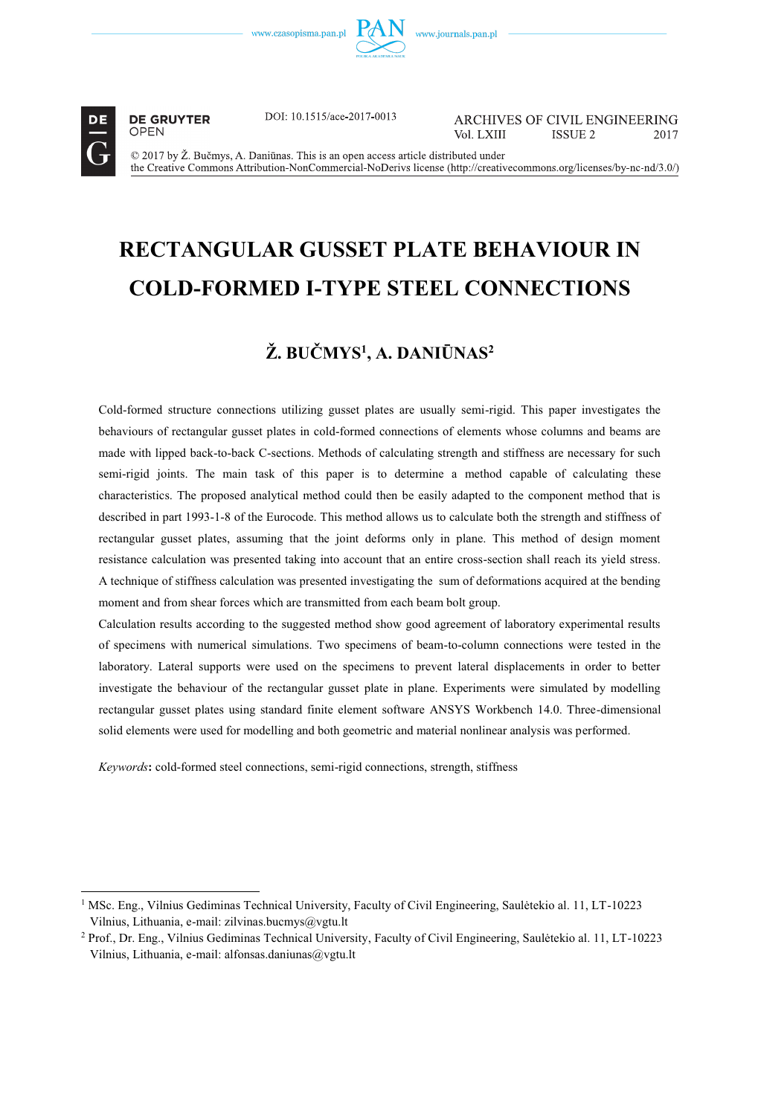

 $\overline{a}$ 

**DE GRUYTER OPEN** 

DOI: 10.1515/ace-2017-0013

**ARCHIVES OF CIVIL ENGINEERING** Vol LXIII **ISSUE 2** 2017

© 2017 by Ž. Bučmys, A. Daniūnas. This is an open access article distributed under the Creative Commons Attribution-NonCommercial-NoDerivs license (http://creativecommons.org/licenses/by-nc-nd/3.0/)

# **RECTANGULAR GUSSET PLATE BEHAVIOUR IN COLD-FORMED I-TYPE STEEL CONNECTIONS**

## $\boldsymbol{\check{Z}}$ . BUČMYS<sup>1</sup>. A. DANIŪNAS<sup>2</sup>

Cold-formed structure connections utilizing gusset plates are usually semi-rigid. This paper investigates the behaviours of rectangular gusset plates in cold-formed connections of elements whose columns and beams are made with lipped back-to-back C-sections. Methods of calculating strength and stiffness are necessary for such semi-rigid joints. The main task of this paper is to determine a method capable of calculating these characteristics. The proposed analytical method could then be easily adapted to the component method that is described in part 1993-1-8 of the Eurocode. This method allows us to calculate both the strength and stiffness of rectangular gusset plates, assuming that the joint deforms only in plane. This method of design moment resistance calculation was presented taking into account that an entire cross-section shall reach its yield stress. A technique of stiffness calculation was presented investigating the sum of deformations acquired at the bending moment and from shear forces which are transmitted from each beam bolt group.

Calculation results according to the suggested method show good agreement of laboratory experimental results of specimens with numerical simulations. Two specimens of beam-to-column connections were tested in the laboratory. Lateral supports were used on the specimens to prevent lateral displacements in order to better investigate the behaviour of the rectangular gusset plate in plane. Experiments were simulated by modelling rectangular gusset plates using standard finite element software ANSYS Workbench 14.0. Three-dimensional solid elements were used for modelling and both geometric and material nonlinear analysis was performed.

*Keywords***:** cold-formed steel connections, semi-rigid connections, strength, stiffness

<sup>1</sup> MSc. Eng., Vilnius Gediminas Technical University, Faculty of Civil Engineering, Saulėtekio al. 11, LT-10223 Vilnius, Lithuania, e-mail: zilvinas.bucmys@vgtu.lt

<sup>2</sup> Prof., Dr. Eng., Vilnius Gediminas Technical University, Faculty of Civil Engineering, Saulėtekio al. 11, LT-10223 Vilnius, Lithuania, e-mail: alfonsas.daniunas@vgtu.lt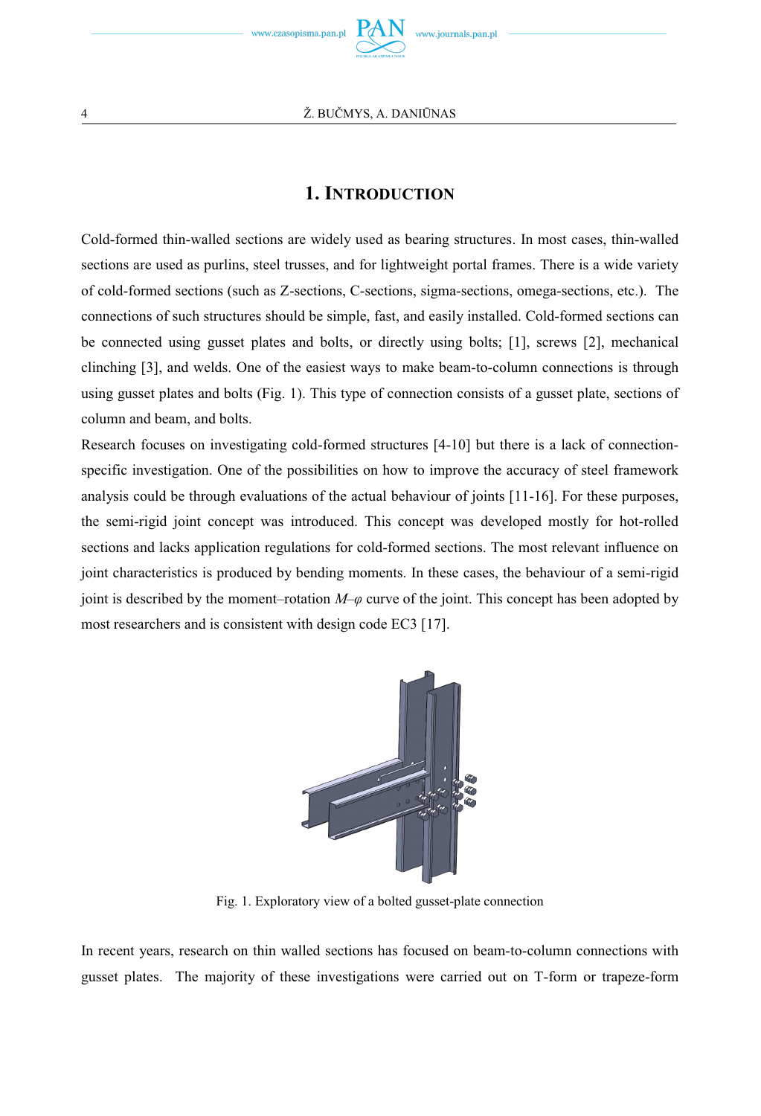

## **1. INTRODUCTION**

Cold-formed thin-walled sections are widely used as bearing structures. In most cases, thin-walled sections are used as purlins, steel trusses, and for lightweight portal frames. There is a wide variety of cold-formed sections (such as Z-sections, C-sections, sigma-sections, omega-sections, etc.). The connections of such structures should be simple, fast, and easily installed. Cold-formed sections can be connected using gusset plates and bolts, or directly using bolts; [1], screws [2], mechanical clinching [3], and welds. One of the easiest ways to make beam-to-column connections is through using gusset plates and bolts (Fig. 1). This type of connection consists of a gusset plate, sections of column and beam, and bolts.

Research focuses on investigating cold-formed structures [4-10] but there is a lack of connectionspecific investigation. One of the possibilities on how to improve the accuracy of steel framework analysis could be through evaluations of the actual behaviour of joints [11-16]. For these purposes, the semi-rigid joint concept was introduced. This concept was developed mostly for hot-rolled sections and lacks application regulations for cold-formed sections. The most relevant influence on joint characteristics is produced by bending moments. In these cases, the behaviour of a semi-rigid joint is described by the moment–rotation *M–φ* curve of the joint. This concept has been adopted by most researchers and is consistent with design code EC3 [17].



Fig. 1. Exploratory view of a bolted gusset-plate connection

In recent years, research on thin walled sections has focused on beam-to-column connections with gusset plates. The majority of these investigations were carried out on T-form or trapeze-form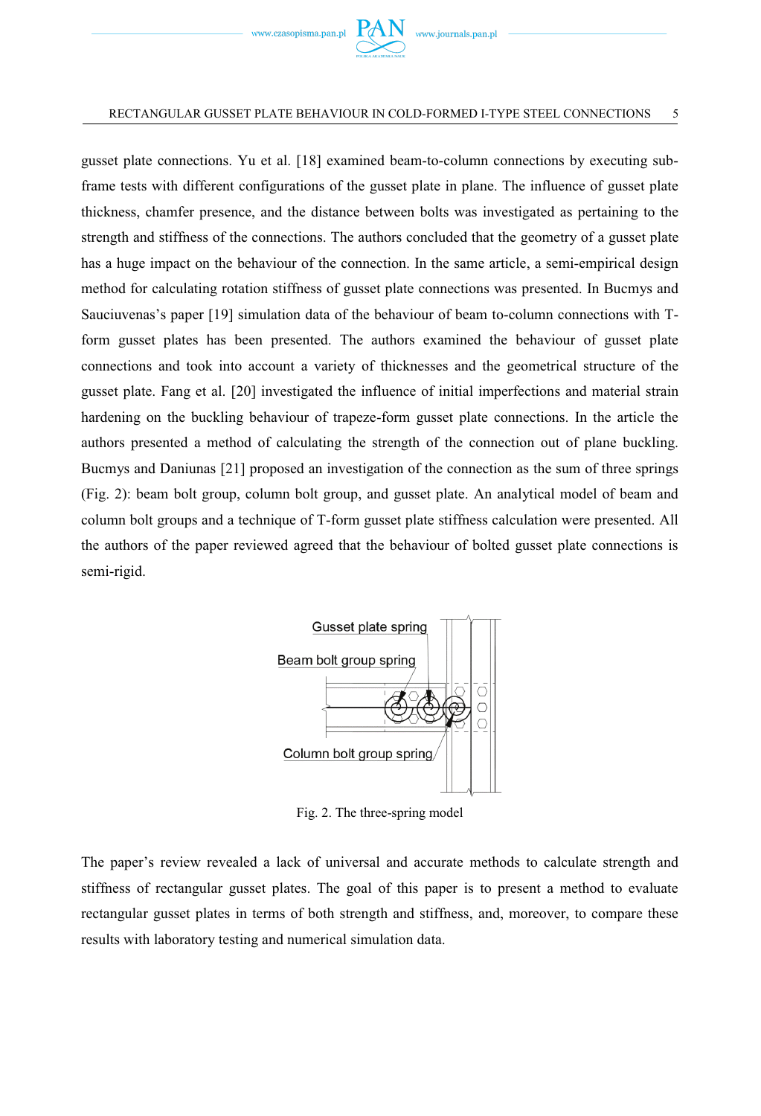

gusset plate connections. Yu et al. [18] examined beam-to-column connections by executing subframe tests with different configurations of the gusset plate in plane. The influence of gusset plate thickness, chamfer presence, and the distance between bolts was investigated as pertaining to the strength and stiffness of the connections. The authors concluded that the geometry of a gusset plate has a huge impact on the behaviour of the connection. In the same article, a semi-empirical design method for calculating rotation stiffness of gusset plate connections was presented. In Bucmys and Sauciuvenas's paper [19] simulation data of the behaviour of beam to-column connections with Tform gusset plates has been presented. The authors examined the behaviour of gusset plate connections and took into account a variety of thicknesses and the geometrical structure of the gusset plate. Fang et al. [20] investigated the influence of initial imperfections and material strain hardening on the buckling behaviour of trapeze-form gusset plate connections. In the article the authors presented a method of calculating the strength of the connection out of plane buckling. Bucmys and Daniunas [21] proposed an investigation of the connection as the sum of three springs (Fig. 2): beam bolt group, column bolt group, and gusset plate. An analytical model of beam and column bolt groups and a technique of T-form gusset plate stiffness calculation were presented. All the authors of the paper reviewed agreed that the behaviour of bolted gusset plate connections is semi-rigid.



Fig. 2. The three-spring model

The paper's review revealed a lack of universal and accurate methods to calculate strength and stiffness of rectangular gusset plates. The goal of this paper is to present a method to evaluate rectangular gusset plates in terms of both strength and stiffness, and, moreover, to compare these results with laboratory testing and numerical simulation data.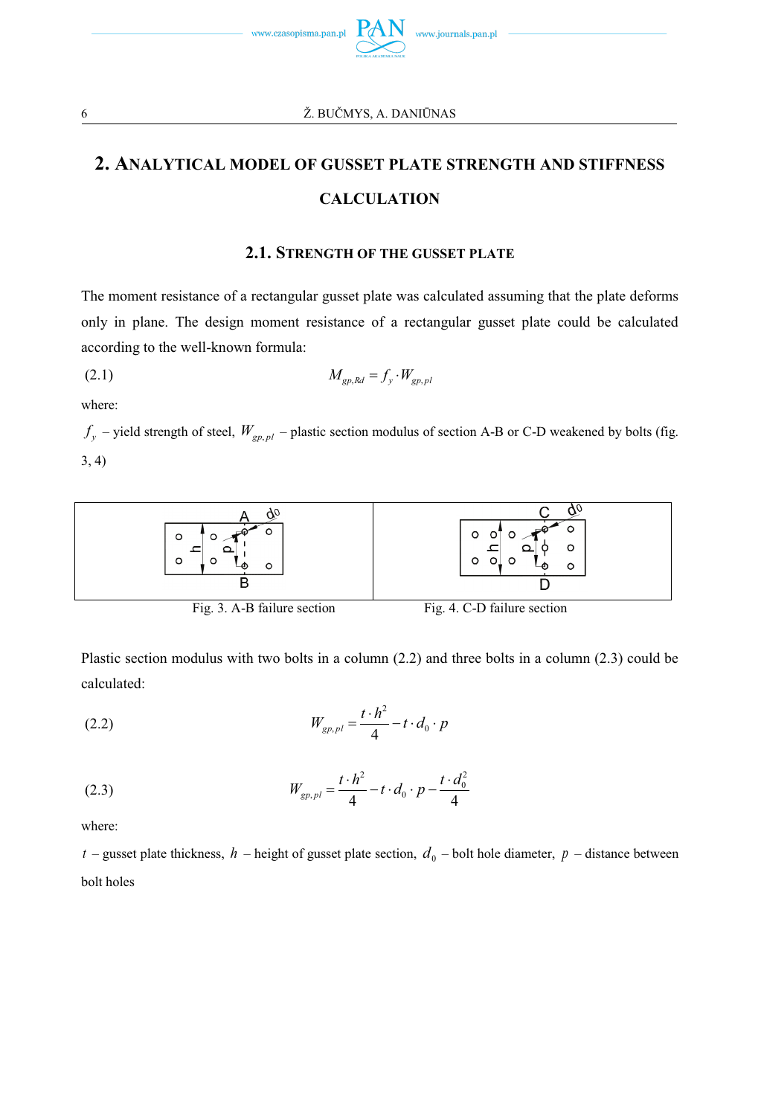

## **2. ANALYTICAL MODEL OF GUSSET PLATE STRENGTH AND STIFFNESS CALCULATION**

## **2.1. STRENGTH OF THE GUSSET PLATE**

The moment resistance of a rectangular gusset plate was calculated assuming that the plate deforms only in plane. The design moment resistance of a rectangular gusset plate could be calculated according to the well-known formula:

$$
(2.1) \t\t M_{gp,Rd} = f_y \cdot W_{gp,pl}
$$

where:

 $f_y$  – yield strength of steel,  $W_{gp, pl}$  – plastic section modulus of section A-B or C-D weakened by bolts (fig. 3, 4)



Plastic section modulus with two bolts in a column (2.2) and three bolts in a column (2.3) could be calculated:

(2.2) 
$$
W_{gp,pl} = \frac{t \cdot h^2}{4} - t \cdot d_0 \cdot p
$$

(2.3) 
$$
W_{gp,pl} = \frac{t \cdot h^2}{4} - t \cdot d_0 \cdot p - \frac{t \cdot d_0^2}{4}
$$

where:

 $t$  – gusset plate thickness,  $h$  – height of gusset plate section,  $d_0$  – bolt hole diameter,  $p$  – distance between bolt holes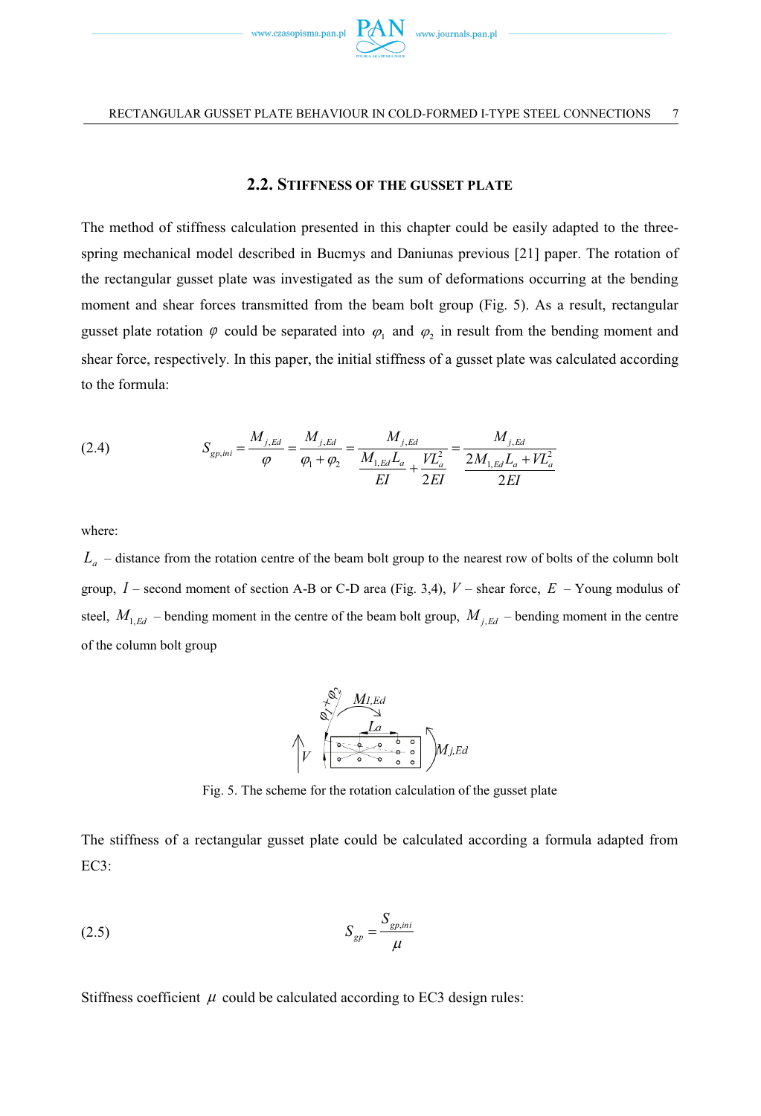

## **2.2. STIFFNESS OF THE GUSSET PLATE**

The method of stiffness calculation presented in this chapter could be easily adapted to the threespring mechanical model described in Bucmys and Daniunas previous [21] paper. The rotation of the rectangular gusset plate was investigated as the sum of deformations occurring at the bending moment and shear forces transmitted from the beam bolt group (Fig. 5). As a result, rectangular gusset plate rotation  $\varphi$  could be separated into  $\varphi_1$  and  $\varphi_2$  in result from the bending moment and shear force, respectively. In this paper, the initial stiffness of a gusset plate was calculated according to the formula:

(2.4) 
$$
S_{gp,ini} = \frac{M_{j,Ed}}{\varphi} = \frac{M_{j,Ed}}{\varphi_1 + \varphi_2} = \frac{M_{j,Ed}}{\frac{M_{1,Ed}L_a}{EI} + \frac{VL_a^2}{2EI}} = \frac{M_{j,Ed}}{\frac{2M_{1,Ed}L_a + VL_a^2}{2EI}}
$$

where:

*La* – distance from the rotation centre of the beam bolt group to the nearest row of bolts of the column bolt group, *I* – second moment of section A-B or C-D area (Fig. 3,4), *V* – shear force, *E* – Young modulus of steel,  $M_{1,Ed}$  – bending moment in the centre of the beam bolt group,  $M_{j,Ed}$  – bending moment in the centre of the column bolt group



Fig. 5. The scheme for the rotation calculation of the gusset plate

The stiffness of a rectangular gusset plate could be calculated according a formula adapted from EC3:

$$
S_{gp} = \frac{S_{gp,ini}}{\mu}
$$

Stiffness coefficient  $\mu$  could be calculated according to EC3 design rules: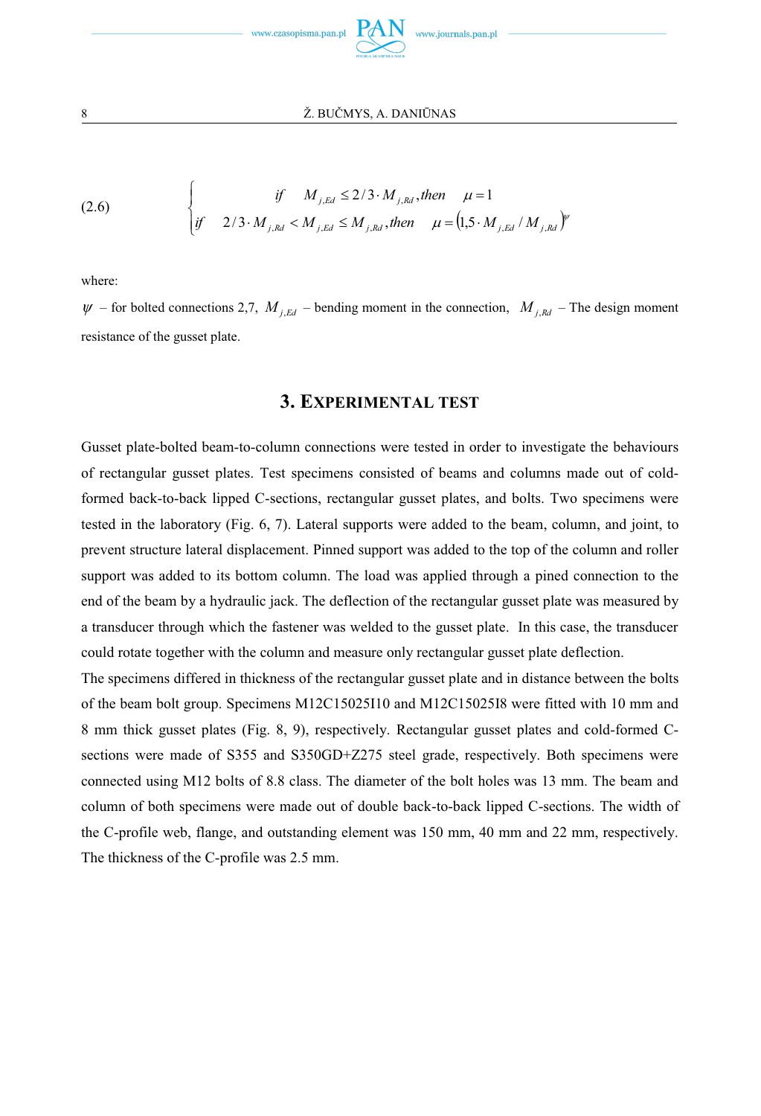

(2.6) 
$$
\begin{cases}\n \text{if} & M_{j, Ed} \le 2/3 \cdot M_{j, Rd}, \text{ then } \mu = 1 \\
\text{if} & 2/3 \cdot M_{j, Rd} < M_{j, Ed} \le M_{j, kd}, \text{ then } \mu = (1, 5 \cdot M_{j, Ed} / M_{j, kd})^{\nu}\n\end{cases}
$$

where:

 $\psi$  – for bolted connections 2,7,  $M$ ,  $_{Ed}$  – bending moment in the connection,  $M$ ,  $_{Ed}$  – The design moment resistance of the gusset plate.

## **3. EXPERIMENTAL TEST**

Gusset plate-bolted beam-to-column connections were tested in order to investigate the behaviours of rectangular gusset plates. Test specimens consisted of beams and columns made out of coldformed back-to-back lipped C-sections, rectangular gusset plates, and bolts. Two specimens were tested in the laboratory (Fig. 6, 7). Lateral supports were added to the beam, column, and joint, to prevent structure lateral displacement. Pinned support was added to the top of the column and roller support was added to its bottom column. The load was applied through a pined connection to the end of the beam by a hydraulic jack. The deflection of the rectangular gusset plate was measured by a transducer through which the fastener was welded to the gusset plate. In this case, the transducer could rotate together with the column and measure only rectangular gusset plate deflection.

The specimens differed in thickness of the rectangular gusset plate and in distance between the bolts of the beam bolt group. Specimens M12C15025I10 and M12C15025I8 were fitted with 10 mm and 8 mm thick gusset plates (Fig. 8, 9), respectively. Rectangular gusset plates and cold-formed Csections were made of S355 and S350GD+Z275 steel grade, respectively. Both specimens were connected using M12 bolts of 8.8 class. The diameter of the bolt holes was 13 mm. The beam and column of both specimens were made out of double back-to-back lipped C-sections. The width of the C-profile web, flange, and outstanding element was 150 mm, 40 mm and 22 mm, respectively. The thickness of the C-profile was 2.5 mm.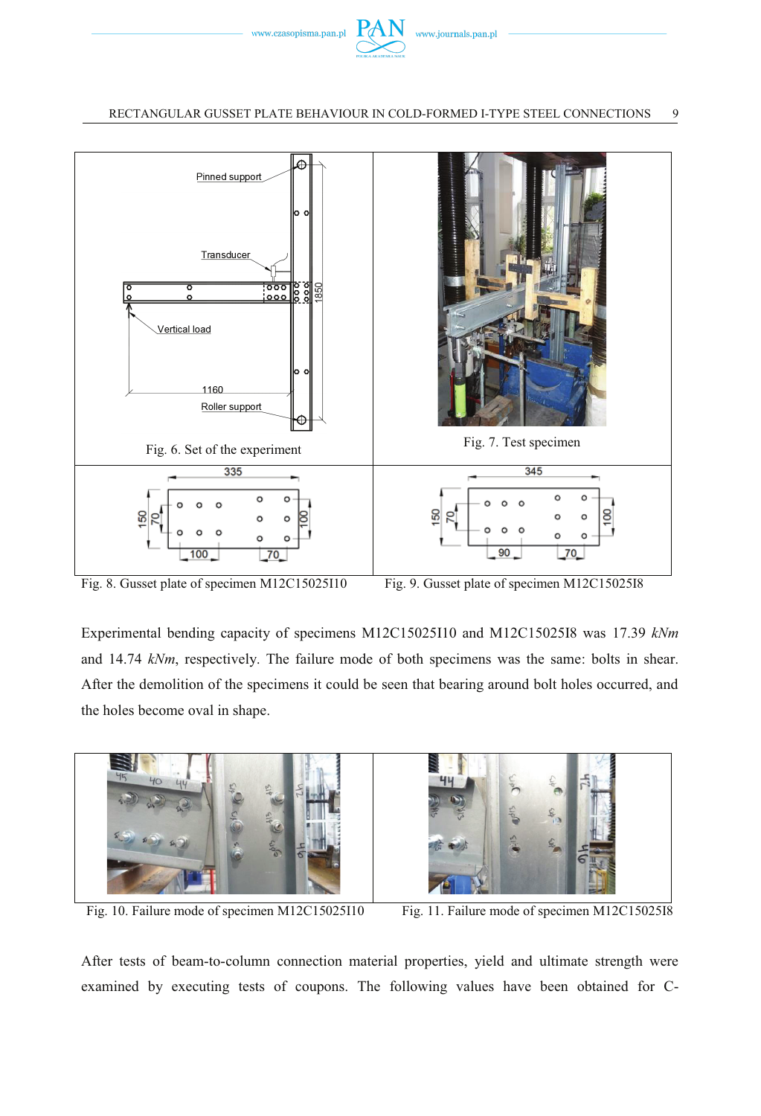



Fig. 8. Gusset plate of specimen M12C15025I10 Fig. 9. Gusset plate of specimen M12C15025I8

Experimental bending capacity of specimens M12C15025I10 and M12C15025I8 was 17.39 *kNm* and 14.74 *kNm*, respectively. The failure mode of both specimens was the same: bolts in shear. After the demolition of the specimens it could be seen that bearing around bolt holes occurred, and the holes become oval in shape.



Fig. 10. Failure mode of specimen M12C15025I10 Fig. 11. Failure mode of specimen M12C15025I8

After tests of beam-to-column connection material properties, yield and ultimate strength were examined by executing tests of coupons. The following values have been obtained for C-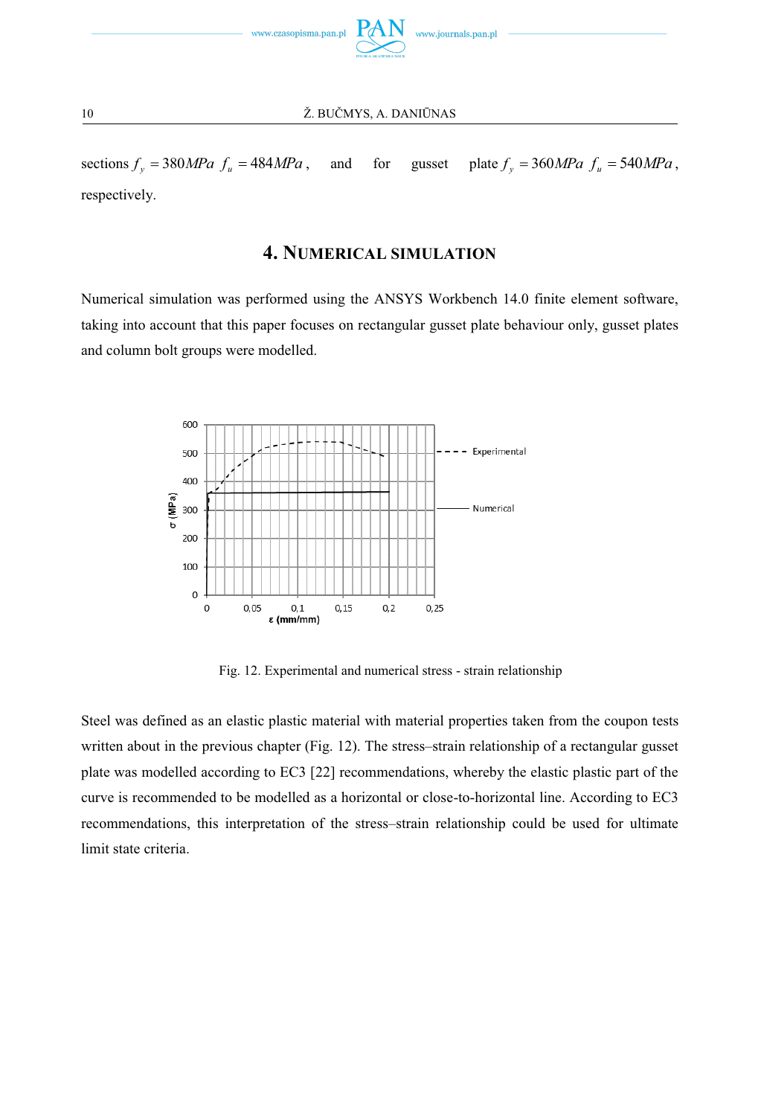

sections  $f_y = 380 MPa f_u = 484 MPa$ , and for gusset plate  $f_y = 360 MPa f_u = 540 MPa$ , respectively.

## **4. NUMERICAL SIMULATION**

Numerical simulation was performed using the ANSYS Workbench 14.0 finite element software, taking into account that this paper focuses on rectangular gusset plate behaviour only, gusset plates and column bolt groups were modelled.



Fig. 12. Experimental and numerical stress - strain relationship

Steel was defined as an elastic plastic material with material properties taken from the coupon tests written about in the previous chapter (Fig. 12). The stress–strain relationship of a rectangular gusset plate was modelled according to EC3 [22] recommendations, whereby the elastic plastic part of the curve is recommended to be modelled as a horizontal or close-to-horizontal line. According to EC3 recommendations, this interpretation of the stress–strain relationship could be used for ultimate limit state criteria.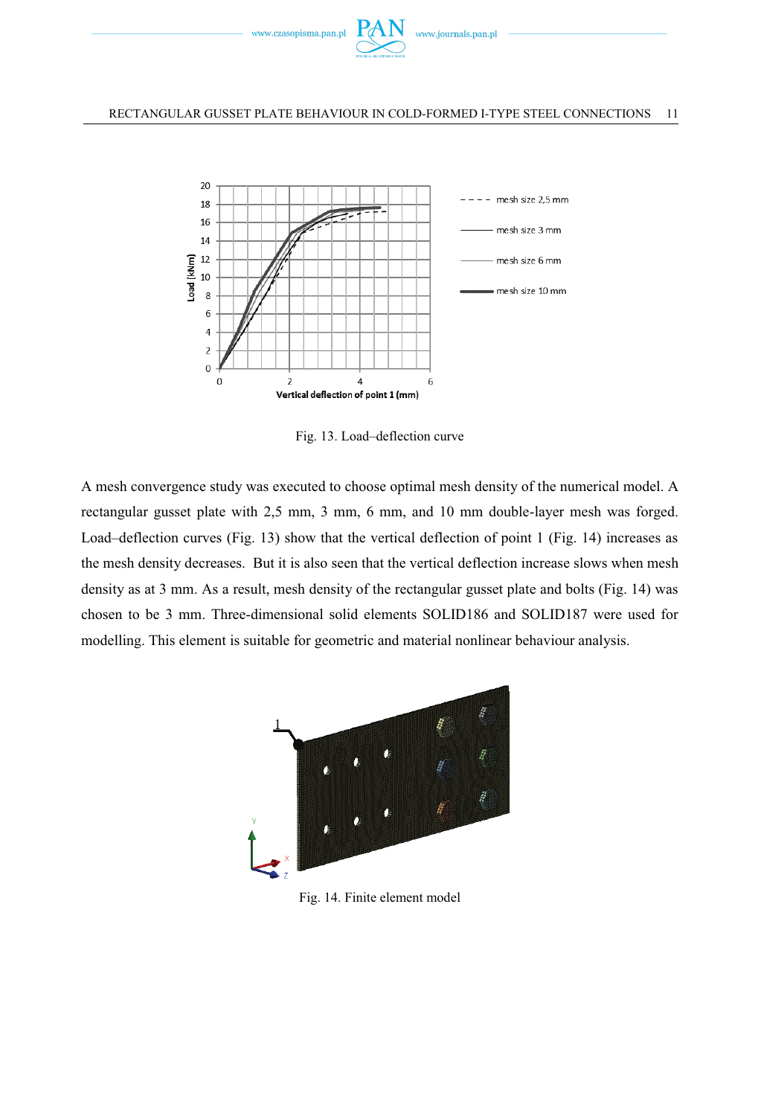



Fig. 13. Load–deflection curve

A mesh convergence study was executed to choose optimal mesh density of the numerical model. A rectangular gusset plate with 2,5 mm, 3 mm, 6 mm, and 10 mm double-layer mesh was forged. Load–deflection curves (Fig. 13) show that the vertical deflection of point 1 (Fig. 14) increases as the mesh density decreases. But it is also seen that the vertical deflection increase slows when mesh density as at 3 mm. As a result, mesh density of the rectangular gusset plate and bolts (Fig. 14) was chosen to be 3 mm. Three-dimensional solid elements SOLID186 and SOLID187 were used for modelling. This element is suitable for geometric and material nonlinear behaviour analysis.



Fig. 14. Finite element model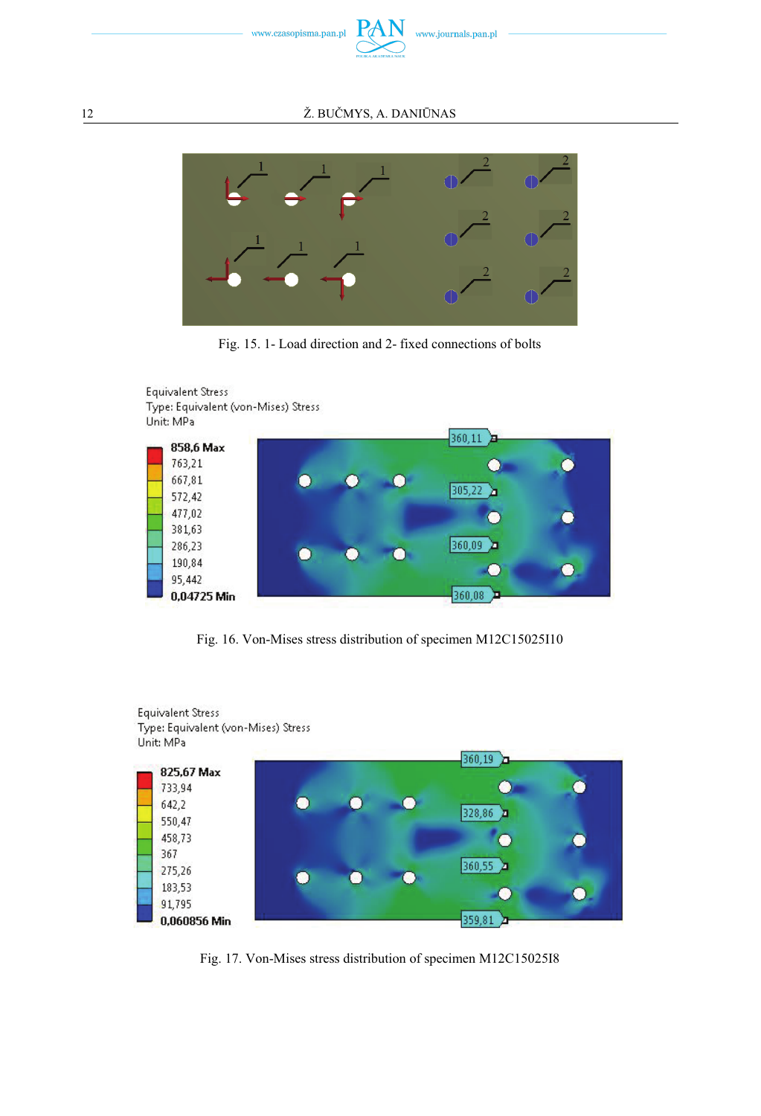

#### 12 Ž. BUČMYS, A. DANIŪNAS



Fig. 15. 1- Load direction and 2- fixed connections of bolts



Fig. 16. Von-Mises stress distribution of specimen M12C15025I10



Fig. 17. Von-Mises stress distribution of specimen M12C15025I8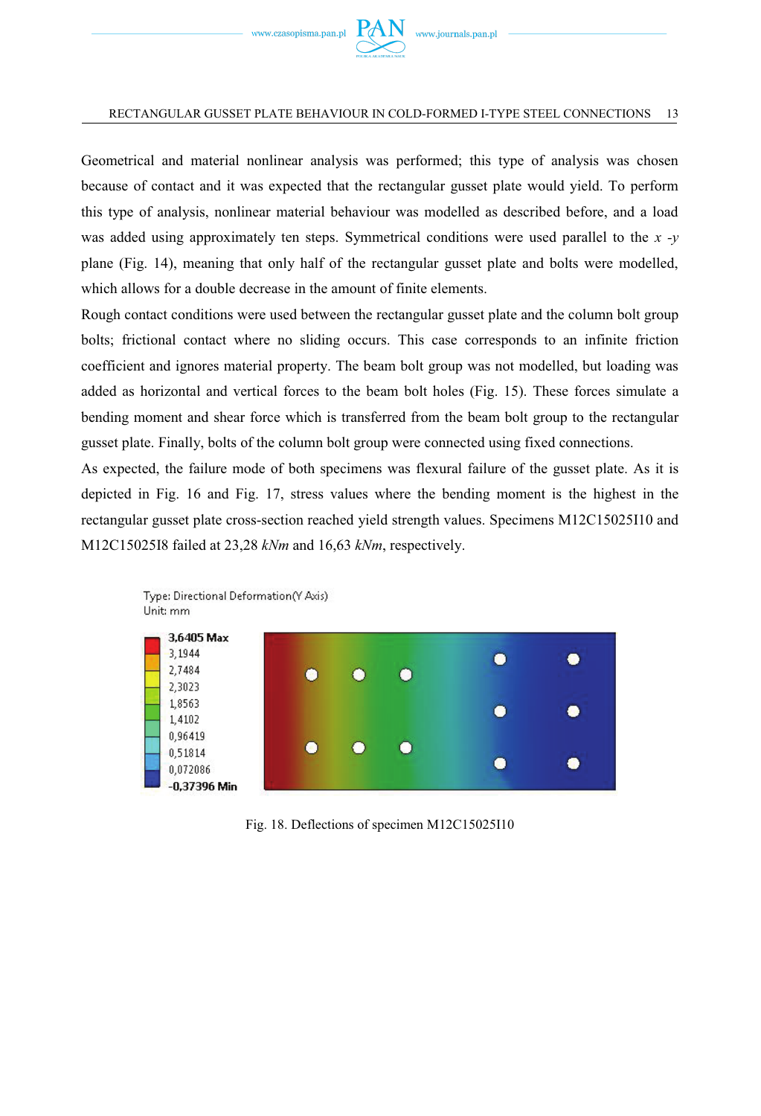

Geometrical and material nonlinear analysis was performed; this type of analysis was chosen because of contact and it was expected that the rectangular gusset plate would yield. To perform this type of analysis, nonlinear material behaviour was modelled as described before, and a load was added using approximately ten steps. Symmetrical conditions were used parallel to the *x -y* plane (Fig. 14), meaning that only half of the rectangular gusset plate and bolts were modelled, which allows for a double decrease in the amount of finite elements.

Rough contact conditions were used between the rectangular gusset plate and the column bolt group bolts; frictional contact where no sliding occurs. This case corresponds to an infinite friction coefficient and ignores material property. The beam bolt group was not modelled, but loading was added as horizontal and vertical forces to the beam bolt holes (Fig. 15). These forces simulate a bending moment and shear force which is transferred from the beam bolt group to the rectangular gusset plate. Finally, bolts of the column bolt group were connected using fixed connections.

As expected, the failure mode of both specimens was flexural failure of the gusset plate. As it is depicted in Fig. 16 and Fig. 17, stress values where the bending moment is the highest in the rectangular gusset plate cross-section reached yield strength values. Specimens M12C15025I10 and M12C15025I8 failed at 23,28 *kNm* and 16,63 *kNm*, respectively.



Fig. 18. Deflections of specimen M12C15025I10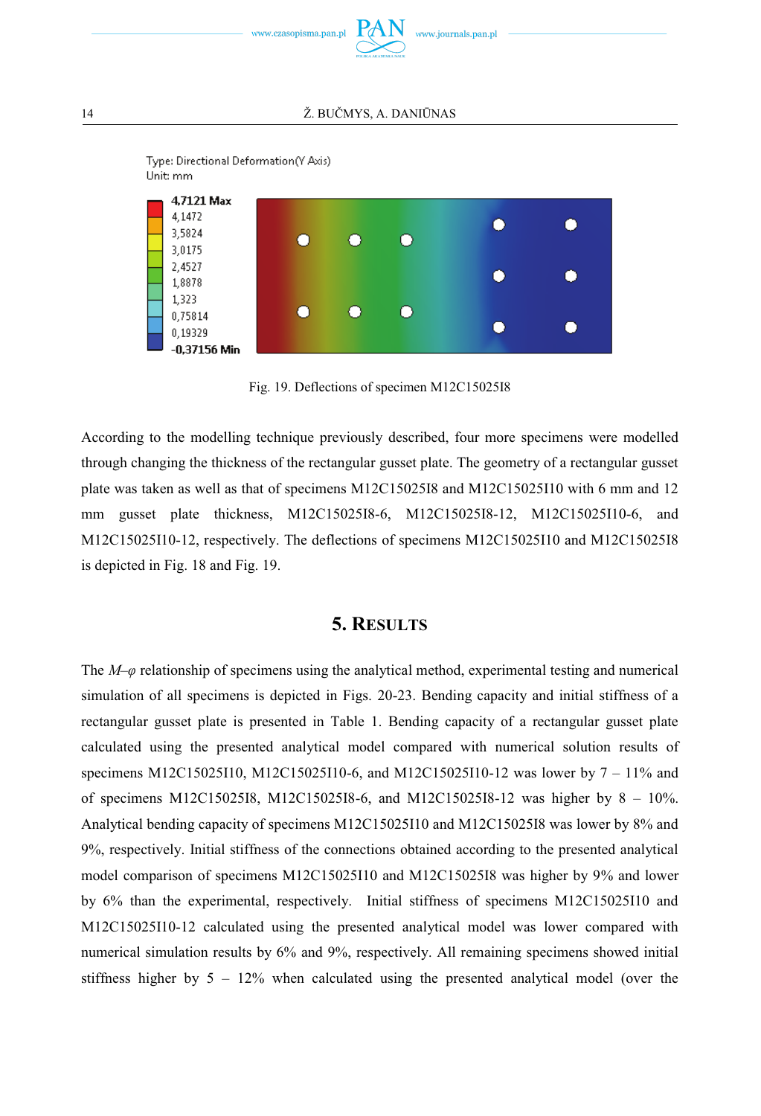





Fig. 19. Deflections of specimen M12C15025I8

According to the modelling technique previously described, four more specimens were modelled through changing the thickness of the rectangular gusset plate. The geometry of a rectangular gusset plate was taken as well as that of specimens M12C15025I8 and M12C15025I10 with 6 mm and 12 mm gusset plate thickness, M12C15025I8-6, M12C15025I8-12, M12C15025I10-6, and M12C15025I10-12, respectively. The deflections of specimens M12C15025I10 and M12C15025I8 is depicted in Fig. 18 and Fig. 19.

## **5. RESULTS**

The *M–φ* relationship of specimens using the analytical method, experimental testing and numerical simulation of all specimens is depicted in Figs. 20-23. Bending capacity and initial stiffness of a rectangular gusset plate is presented in Table 1. Bending capacity of a rectangular gusset plate calculated using the presented analytical model compared with numerical solution results of specimens M12C15025I10, M12C15025I10-6, and M12C15025I10-12 was lower by 7 – 11% and of specimens M12C15025I8, M12C15025I8-6, and M12C15025I8-12 was higher by 8 – 10%. Analytical bending capacity of specimens M12C15025I10 and M12C15025I8 was lower by 8% and 9%, respectively. Initial stiffness of the connections obtained according to the presented analytical model comparison of specimens M12C15025I10 and M12C15025I8 was higher by 9% and lower by 6% than the experimental, respectively. Initial stiffness of specimens M12C15025I10 and M12C15025I10-12 calculated using the presented analytical model was lower compared with numerical simulation results by 6% and 9%, respectively. All remaining specimens showed initial stiffness higher by  $5 - 12\%$  when calculated using the presented analytical model (over the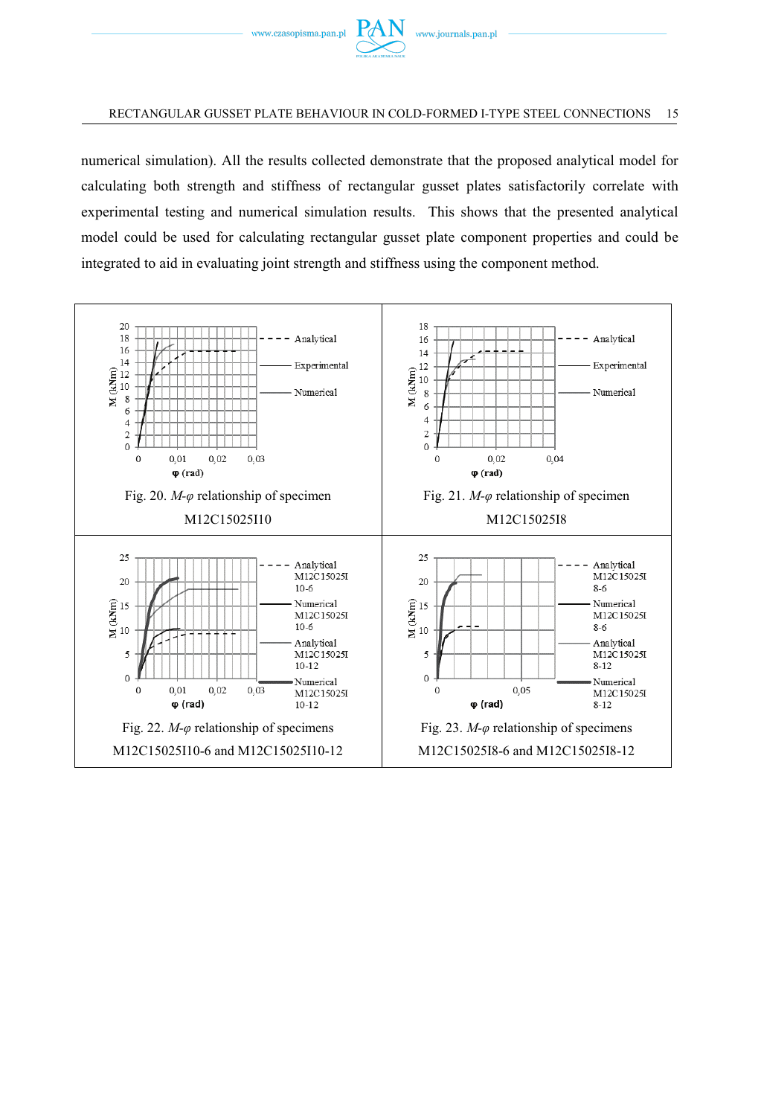

numerical simulation). All the results collected demonstrate that the proposed analytical model for calculating both strength and stiffness of rectangular gusset plates satisfactorily correlate with experimental testing and numerical simulation results. This shows that the presented analytical model could be used for calculating rectangular gusset plate component properties and could be integrated to aid in evaluating joint strength and stiffness using the component method.

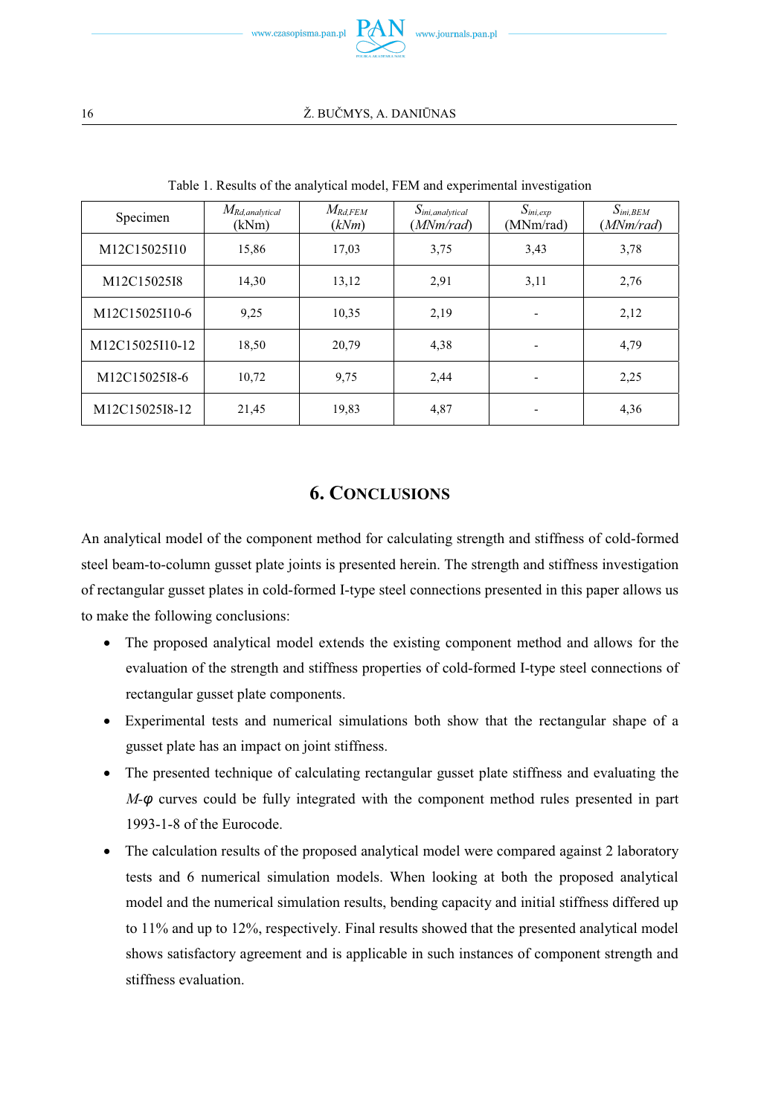

| Specimen        | $M_{Rd,analytical}$<br>(kNm) | $M_{Rd, FEM}$<br>(kNm) | $S_{ini,analytical}$<br>(MNm/rad) | $S_{ini,exp}$<br>(MNm/rad) | $S_{ini,BEM}$<br>(MNm/rad) |
|-----------------|------------------------------|------------------------|-----------------------------------|----------------------------|----------------------------|
| M12C15025I10    | 15,86                        | 17,03                  | 3,75                              | 3,43                       | 3,78                       |
| M12C15025I8     | 14,30                        | 13,12                  | 2,91                              | 3,11                       | 2,76                       |
| M12C15025I10-6  | 9,25                         | 10,35                  | 2,19                              | $\overline{\phantom{0}}$   | 2,12                       |
| M12C15025I10-12 | 18,50                        | 20,79                  | 4,38                              |                            | 4,79                       |
| M12C15025I8-6   | 10,72                        | 9,75                   | 2,44                              |                            | 2,25                       |
| M12C15025I8-12  | 21,45                        | 19,83                  | 4,87                              | -                          | 4,36                       |

Table 1. Results of the analytical model, FEM and experimental investigation

## **6. CONCLUSIONS**

An analytical model of the component method for calculating strength and stiffness of cold-formed steel beam-to-column gusset plate joints is presented herein. The strength and stiffness investigation of rectangular gusset plates in cold-formed I-type steel connections presented in this paper allows us to make the following conclusions:

- The proposed analytical model extends the existing component method and allows for the evaluation of the strength and stiffness properties of cold-formed I-type steel connections of rectangular gusset plate components.
- Experimental tests and numerical simulations both show that the rectangular shape of a gusset plate has an impact on joint stiffness.
- The presented technique of calculating rectangular gusset plate stiffness and evaluating the *M-φ* curves could be fully integrated with the component method rules presented in part 1993-1-8 of the Eurocode.
- The calculation results of the proposed analytical model were compared against 2 laboratory tests and 6 numerical simulation models. When looking at both the proposed analytical model and the numerical simulation results, bending capacity and initial stiffness differed up to 11% and up to 12%, respectively. Final results showed that the presented analytical model shows satisfactory agreement and is applicable in such instances of component strength and stiffness evaluation.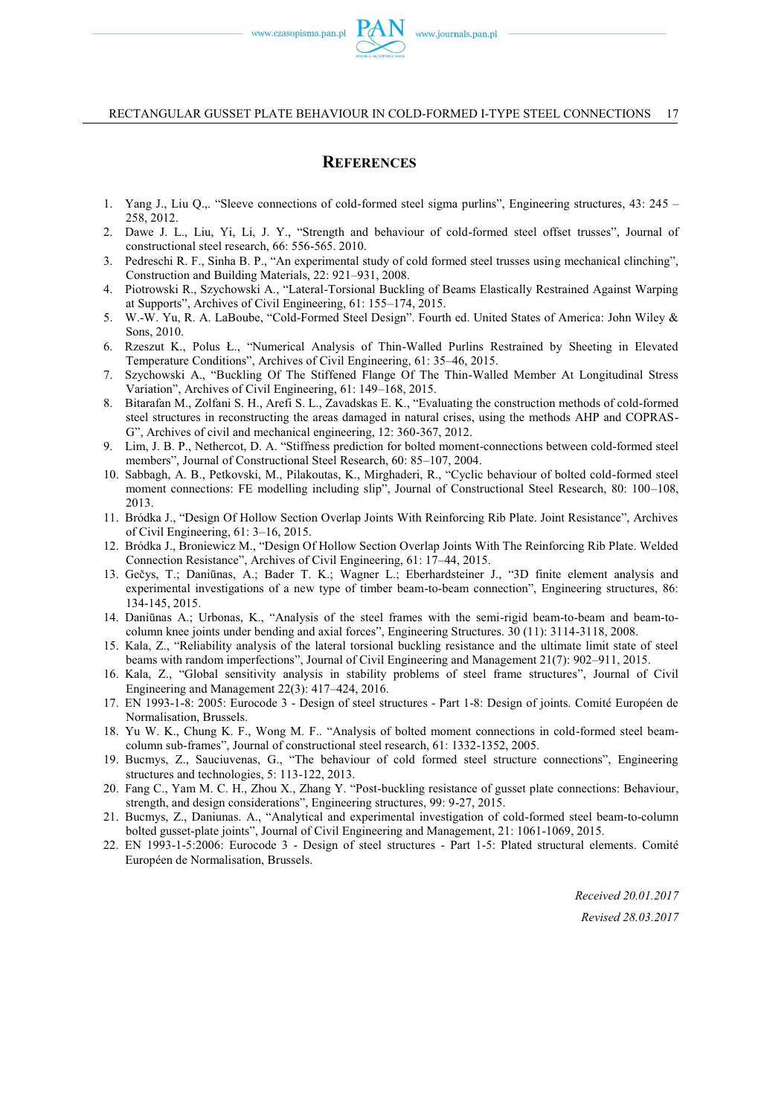## **REFERENCES**

- 1. Yang J., Liu Q.,. "Sleeve connections of cold-formed steel sigma purlins", Engineering structures, 43: 245 258, 2012.
- 2. Dawe J. L., Liu, Yi, Li, J. Y., "Strength and behaviour of cold-formed steel offset trusses", Journal of constructional steel research, 66: 556-565. 2010.
- 3. Pedreschi R. F., Sinha B. P., "An experimental study of cold formed steel trusses using mechanical clinching", Construction and Building Materials, 22: 921–931, 2008.
- 4. Piotrowski R., Szychowski A., "Lateral-Torsional Buckling of Beams Elastically Restrained Against Warping at Supports", Archives of Civil Engineering, 61: 155–174, 2015.
- 5. W.-W. Yu, R. A. LaBoube, "Cold-Formed Steel Design". Fourth ed. United States of America: John Wiley & Sons, 2010.
- 6. Rzeszut K., Polus Ł., "Numerical Analysis of Thin-Walled Purlins Restrained by Sheeting in Elevated Temperature Conditions", Archives of Civil Engineering, 61: 35–46, 2015.
- 7. Szychowski A., "Buckling Of The Stiffened Flange Of The Thin-Walled Member At Longitudinal Stress Variation", Archives of Civil Engineering, 61: 149–168, 2015.
- 8. Bitarafan M., Zolfani S. H., Arefi S. L., Zavadskas E. K., "Evaluating the construction methods of cold-formed steel structures in reconstructing the areas damaged in natural crises, using the methods AHP and COPRAS-G", Archives of civil and mechanical engineering, 12: 360-367, 2012.
- 9. Lim, J. B. P., Nethercot, D. A. "Stiffness prediction for bolted moment-connections between cold-formed steel members", Journal of Constructional Steel Research, 60: 85–107, 2004.
- 10. Sabbagh, A. B., Petkovski, M., Pilakoutas, K., Mirghaderi, R., "Cyclic behaviour of bolted cold-formed steel moment connections: FE modelling including slip", Journal of Constructional Steel Research, 80: 100–108, 2013.
- 11. Bródka J., "Design Of Hollow Section Overlap Joints With Reinforcing Rib Plate. Joint Resistance", Archives of Civil Engineering, 61: 3–16, 2015.
- 12. Bródka J., Broniewicz M., "Design Of Hollow Section Overlap Joints With The Reinforcing Rib Plate. Welded Connection Resistance", Archives of Civil Engineering, 61: 17–44, 2015.
- 13. Gečys, T.; Daniūnas, A.; Bader T. K.; Wagner L.; Eberhardsteiner J., "3D finite element analysis and experimental investigations of a new type of timber beam-to-beam connection", Engineering structures, 86: 134-145, 2015.
- 14. Daniūnas A.; Urbonas, K., "Analysis of the steel frames with the semi-rigid beam-to-beam and beam-tocolumn knee joints under bending and axial forces", Engineering Structures. 30 (11): 3114-3118, 2008.
- 15. Kala, Z., "Reliability analysis of the lateral torsional buckling resistance and the ultimate limit state of steel beams with random imperfections", Journal of Civil Engineering and Management 21(7): 902–911, 2015.
- 16. Kala, Z., "Global sensitivity analysis in stability problems of steel frame structures", Journal of Civil Engineering and Management 22(3): 417–424, 2016.
- 17. EN 1993-1-8: 2005: Eurocode 3 Design of steel structures Part 1-8: Design of joints. Comité Européen de Normalisation, Brussels.
- 18. Yu W. K., Chung K. F., Wong M. F.. "Analysis of bolted moment connections in cold-formed steel beamcolumn sub-frames", Journal of constructional steel research, 61: 1332-1352, 2005.
- 19. Bucmys, Z., Sauciuvenas, G., "The behaviour of cold formed steel structure connections", Engineering structures and technologies, 5: 113-122, 2013.
- 20. Fang C., Yam M. C. H., Zhou X., Zhang Y. "Post-buckling resistance of gusset plate connections: Behaviour, strength, and design considerations", Engineering structures, 99: 9-27, 2015.
- 21. Bucmys, Z., Daniunas. A., "Analytical and experimental investigation of cold-formed steel beam-to-column bolted gusset-plate joints", Journal of Civil Engineering and Management, 21: 1061-1069, 2015.
- 22. EN 1993-1-5:2006: Eurocode 3 Design of steel structures Part 1-5: Plated structural elements. Comité Européen de Normalisation, Brussels.

*Received 20.01.2017 Revised 28.03.2017*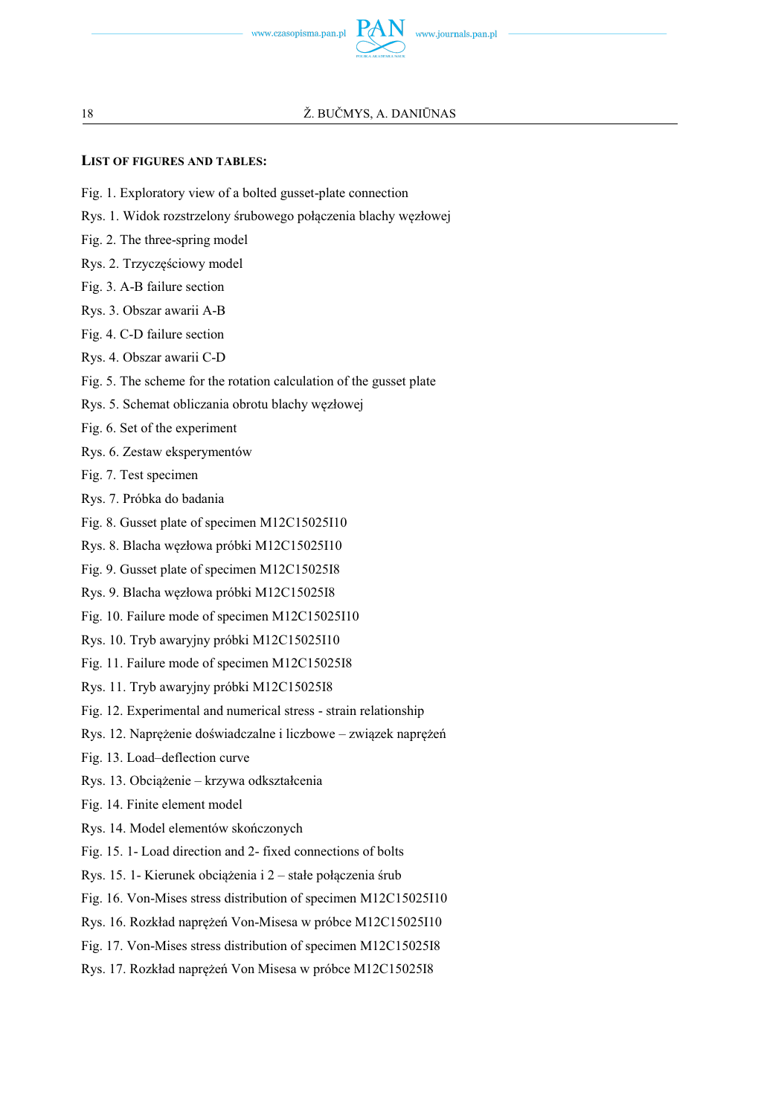

### **LIST OF FIGURES AND TABLES:**

- Fig. 1. Exploratory view of a bolted gusset-plate connection
- Rys. 1. Widok rozstrzelony śrubowego połączenia blachy węzłowej
- Fig. 2. The three-spring model
- Rys. 2. Trzyczęściowy model
- Fig. 3. A-B failure section
- Rys. 3. Obszar awarii A-B
- Fig. 4. C-D failure section
- Rys. 4. Obszar awarii C-D
- Fig. 5. The scheme for the rotation calculation of the gusset plate
- Rys. 5. Schemat obliczania obrotu blachy węzłowej
- Fig. 6. Set of the experiment
- Rys. 6. Zestaw eksperymentów
- Fig. 7. Test specimen
- Rys. 7. Próbka do badania
- Fig. 8. Gusset plate of specimen M12C15025I10
- Rys. 8. Blacha węzłowa próbki M12C15025I10
- Fig. 9. Gusset plate of specimen M12C15025I8
- Rys. 9. Blacha węzłowa próbki M12C15025I8
- Fig. 10. Failure mode of specimen M12C15025I10
- Rys. 10. Tryb awaryjny próbki M12C15025I10
- Fig. 11. Failure mode of specimen M12C15025I8
- Rys. 11. Tryb awaryjny próbki M12C15025I8
- Fig. 12. Experimental and numerical stress strain relationship
- Rys. 12. Naprężenie doświadczalne i liczbowe związek naprężeń
- Fig. 13. Load–deflection curve
- Rys. 13. Obciążenie krzywa odkształcenia
- Fig. 14. Finite element model
- Rys. 14. Model elementów skończonych
- Fig. 15. 1- Load direction and 2- fixed connections of bolts
- Rys. 15. 1- Kierunek obciążenia i 2 stałe połączenia śrub
- Fig. 16. Von-Mises stress distribution of specimen M12C15025I10
- Rys. 16. Rozkład naprężeń Von-Misesa w próbce M12C15025I10
- Fig. 17. Von-Mises stress distribution of specimen M12C15025I8
- Rys. 17. Rozkład naprężeń Von Misesa w próbce M12C15025I8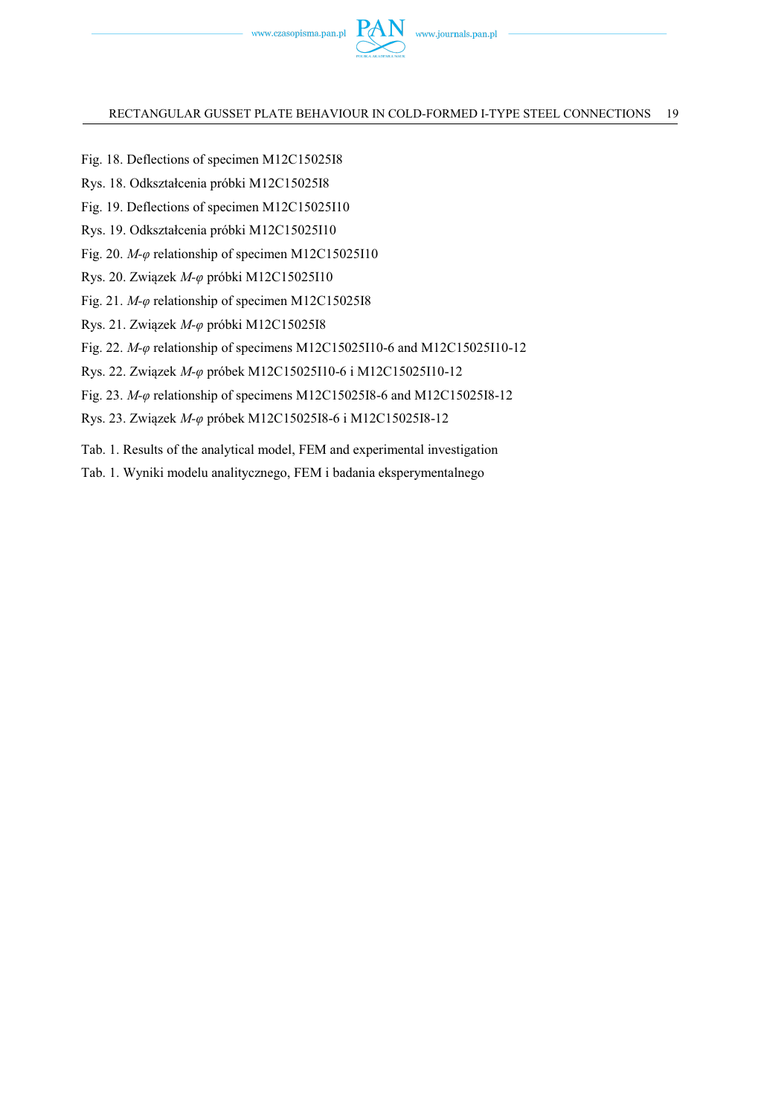

- Fig. 18. Deflections of specimen M12C15025I8
- Rys. 18. Odkształcenia próbki M12C15025I8
- Fig. 19. Deflections of specimen M12C15025I10
- Rys. 19. Odkształcenia próbki M12C15025I10
- Fig. 20. *M-φ* relationship of specimen M12C15025I10
- Rys. 20. Związek *M-φ* próbki M12C15025I10
- Fig. 21. *M-φ* relationship of specimen M12C15025I8
- Rys. 21. Związek *M-φ* próbki M12C15025I8
- Fig. 22. *M-φ* relationship of specimens M12C15025I10-6 and M12C15025I10-12
- Rys. 22. Związek *M-φ* próbek M12C15025I10-6 i M12C15025I10-12
- Fig. 23. *M-φ* relationship of specimens M12C15025I8-6 and M12C15025I8-12
- Rys. 23. Związek *M-φ* próbek M12C15025I8-6 i M12C15025I8-12
- Tab. 1. Results of the analytical model, FEM and experimental investigation
- Tab. 1. Wyniki modelu analitycznego, FEM i badania eksperymentalnego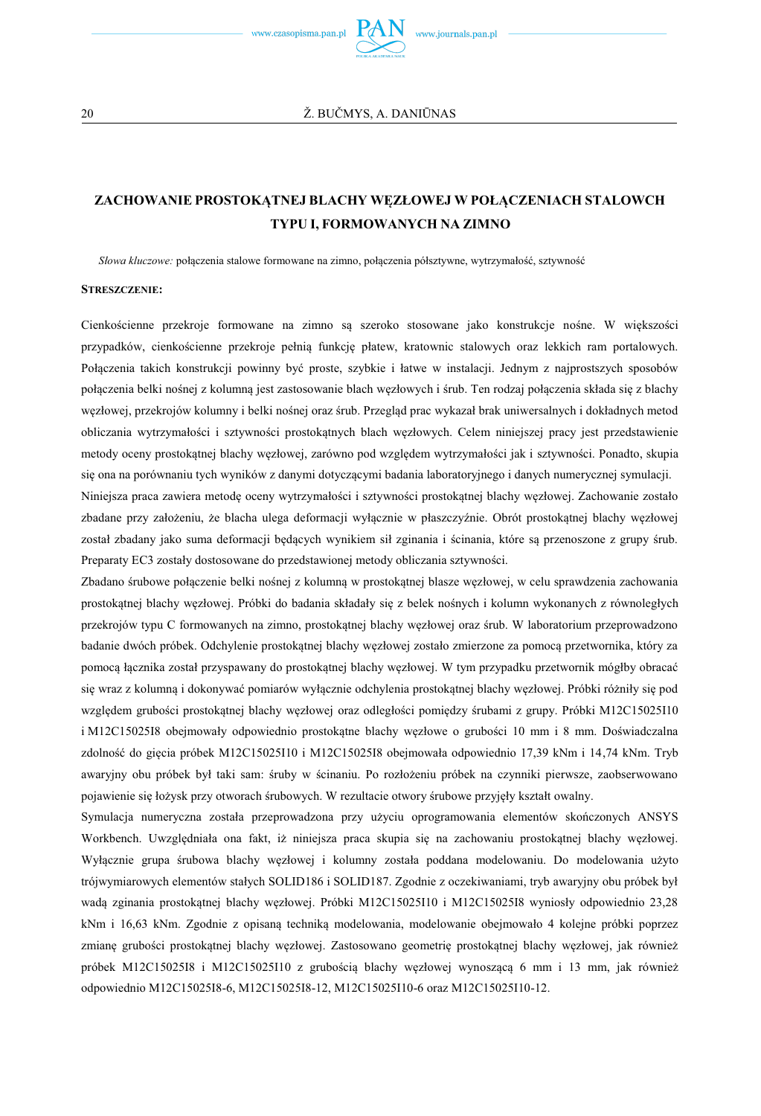

## **ZACHOWANIE PROSTOKĄTNEJ BLACHY WĘZŁOWEJ W POŁĄCZENIACH STALOWCH TYPU I, FORMOWANYCH NA ZIMNO**

*Słowa kluczowe:* połączenia stalowe formowane na zimno, połączenia półsztywne, wytrzymałość, sztywność

#### **STRESZCZENIE:**

Cienkościenne przekroje formowane na zimno są szeroko stosowane jako konstrukcje nośne. W większości przypadków, cienkościenne przekroje pełnią funkcję płatew, kratownic stalowych oraz lekkich ram portalowych. Połączenia takich konstrukcji powinny być proste, szybkie i łatwe w instalacji. Jednym z najprostszych sposobów połączenia belki nośnej z kolumną jest zastosowanie blach węzłowych i śrub. Ten rodzaj połączenia składa się z blachy węzłowej, przekrojów kolumny i belki nośnej oraz śrub. Przegląd prac wykazał brak uniwersalnych i dokładnych metod obliczania wytrzymałości i sztywności prostokątnych blach węzłowych. Celem niniejszej pracy jest przedstawienie metody oceny prostokątnej blachy węzłowej, zarówno pod względem wytrzymałości jak i sztywności. Ponadto, skupia się ona na porównaniu tych wyników z danymi dotyczącymi badania laboratoryjnego i danych numerycznej symulacji.

Niniejsza praca zawiera metodę oceny wytrzymałości i sztywności prostokątnej blachy węzłowej. Zachowanie zostało zbadane przy założeniu, że blacha ulega deformacji wyłącznie w płaszczyźnie. Obrót prostokątnej blachy węzłowej został zbadany jako suma deformacji będących wynikiem sił zginania i ścinania, które są przenoszone z grupy śrub. Preparaty EC3 zostały dostosowane do przedstawionej metody obliczania sztywności.

Zbadano śrubowe połączenie belki nośnej z kolumną w prostokątnej blasze węzłowej, w celu sprawdzenia zachowania prostokątnej blachy węzłowej. Próbki do badania składały się z belek nośnych i kolumn wykonanych z równoległych przekrojów typu C formowanych na zimno, prostokątnej blachy węzłowej oraz śrub. W laboratorium przeprowadzono badanie dwóch próbek. Odchylenie prostokątnej blachy węzłowej zostało zmierzone za pomocą przetwornika, który za pomocą łącznika został przyspawany do prostokątnej blachy węzłowej. W tym przypadku przetwornik mógłby obracać się wraz z kolumną i dokonywać pomiarów wyłącznie odchylenia prostokątnej blachy węzłowej. Próbki różniły się pod względem grubości prostokątnej blachy węzłowej oraz odległości pomiędzy śrubami z grupy. Próbki M12C15025I10 i M12C15025I8 obejmowały odpowiednio prostokątne blachy węzłowe o grubości 10 mm i 8 mm. Doświadczalna zdolność do gięcia próbek M12C15025I10 i M12C15025I8 obejmowała odpowiednio 17,39 kNm i 14,74 kNm. Tryb awaryjny obu próbek był taki sam: śruby w ścinaniu. Po rozłożeniu próbek na czynniki pierwsze, zaobserwowano pojawienie się łożysk przy otworach śrubowych. W rezultacie otwory śrubowe przyjęły kształt owalny.

Symulacja numeryczna została przeprowadzona przy użyciu oprogramowania elementów skończonych ANSYS Workbench. Uwzględniała ona fakt, iż niniejsza praca skupia się na zachowaniu prostokątnej blachy węzłowej. Wyłącznie grupa śrubowa blachy węzłowej i kolumny została poddana modelowaniu. Do modelowania użyto trójwymiarowych elementów stałych SOLID186 i SOLID187. Zgodnie z oczekiwaniami, tryb awaryjny obu próbek był wadą zginania prostokątnej blachy węzłowej. Próbki M12C15025I10 i M12C15025I8 wyniosły odpowiednio 23,28 kNm i 16,63 kNm. Zgodnie z opisaną techniką modelowania, modelowanie obejmowało 4 kolejne próbki poprzez zmianę grubości prostokątnej blachy węzłowej. Zastosowano geometrię prostokątnej blachy węzłowej, jak również próbek M12C15025I8 i M12C15025I10 z grubością blachy węzłowej wynoszącą 6 mm i 13 mm, jak również odpowiednio M12C15025I8-6, M12C15025I8-12, M12C15025I10-6 oraz M12C15025I10-12.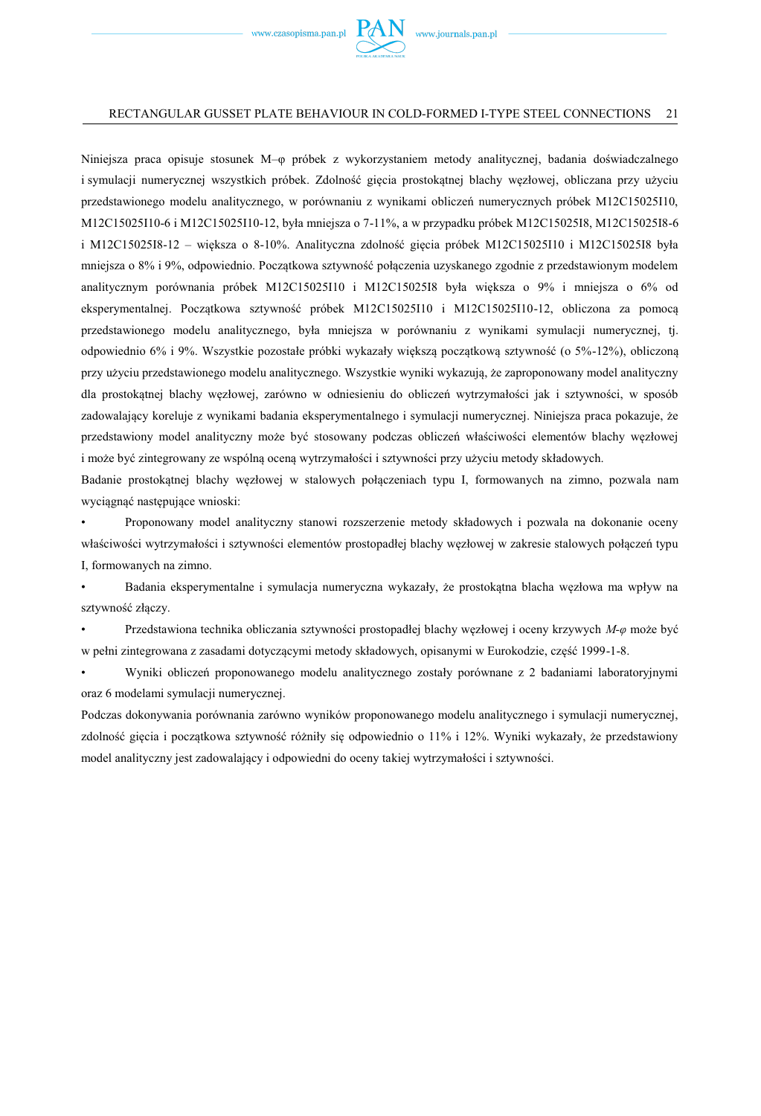

Niniejsza praca opisuje stosunek M–φ próbek z wykorzystaniem metody analitycznej, badania doświadczalnego i symulacji numerycznej wszystkich próbek. Zdolność gięcia prostokątnej blachy węzłowej, obliczana przy użyciu przedstawionego modelu analitycznego, w porównaniu z wynikami obliczeń numerycznych próbek M12C15025I10, M12C15025I10-6 i M12C15025I10-12, była mniejsza o 7-11%, a w przypadku próbek M12C15025I8, M12C15025I8-6 i M12C15025I8-12 – większa o 8-10%. Analityczna zdolność gięcia próbek M12C15025I10 i M12C15025I8 była mniejsza o 8% i 9%, odpowiednio. Początkowa sztywność połączenia uzyskanego zgodnie z przedstawionym modelem analitycznym porównania próbek M12C15025I10 i M12C15025I8 była większa o 9% i mniejsza o 6% od eksperymentalnej. Początkowa sztywność próbek M12C15025I10 i M12C15025I10-12, obliczona za pomocą przedstawionego modelu analitycznego, była mniejsza w porównaniu z wynikami symulacji numerycznej, tj. odpowiednio 6% i 9%. Wszystkie pozostałe próbki wykazały większą początkową sztywność (o 5%-12%), obliczoną przy użyciu przedstawionego modelu analitycznego. Wszystkie wyniki wykazują, że zaproponowany model analityczny dla prostokątnej blachy węzłowej, zarówno w odniesieniu do obliczeń wytrzymałości jak i sztywności, w sposób zadowalający koreluje z wynikami badania eksperymentalnego i symulacji numerycznej. Niniejsza praca pokazuje, że przedstawiony model analityczny może być stosowany podczas obliczeń właściwości elementów blachy węzłowej i może być zintegrowany ze wspólną oceną wytrzymałości i sztywności przy użyciu metody składowych.

Badanie prostokątnej blachy węzłowej w stalowych połączeniach typu I, formowanych na zimno, pozwala nam wyciągnąć następujące wnioski:

• Proponowany model analityczny stanowi rozszerzenie metody składowych i pozwala na dokonanie oceny właściwości wytrzymałości i sztywności elementów prostopadłej blachy węzłowej w zakresie stalowych połączeń typu I, formowanych na zimno.

• Badania eksperymentalne i symulacja numeryczna wykazały, że prostokątna blacha węzłowa ma wpływ na sztywność złączy.

• Przedstawiona technika obliczania sztywności prostopadłej blachy węzłowej i oceny krzywych *M-φ* może być w pełni zintegrowana z zasadami dotyczącymi metody składowych, opisanymi w Eurokodzie, część 1999-1-8.

• Wyniki obliczeń proponowanego modelu analitycznego zostały porównane z 2 badaniami laboratoryjnymi oraz 6 modelami symulacji numerycznej.

Podczas dokonywania porównania zarówno wyników proponowanego modelu analitycznego i symulacji numerycznej, zdolność gięcia i początkowa sztywność różniły się odpowiednio o 11% i 12%. Wyniki wykazały, że przedstawiony model analityczny jest zadowalający i odpowiedni do oceny takiej wytrzymałości i sztywności.